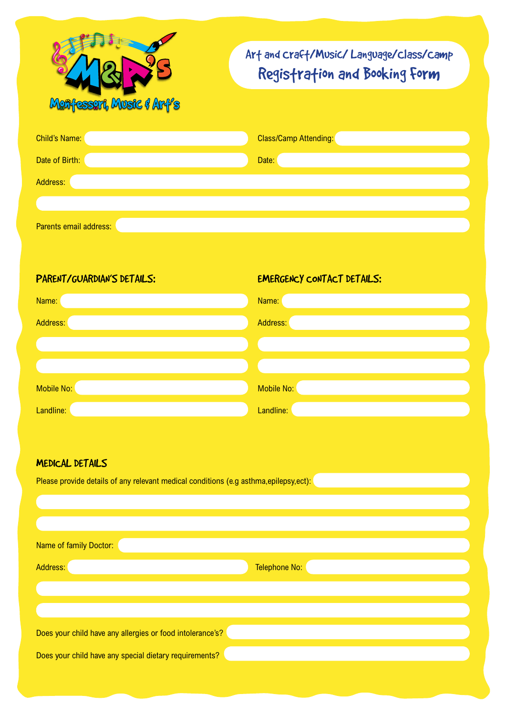

## Art and Craft/Music/ Language/Class/Camp Registration and Booking Form

| <b>Child's Name:</b> | <b>Class/Camp Attending:</b> |
|----------------------|------------------------------|
| Date of Birth:       | Date:                        |
| Address:             |                              |
|                      |                              |
|                      |                              |

Parents email address:

PARENT/GUARDIAN'S DETAILS: EMERGENCY CONTACT DETAILS: Name: Name: Address: Address: Mobile No: Mobile No: Nobile No: Nobile No: Nobile No: Nobile No: Nobile No: Nobile No: Nobile No: Nobile No: Nobile No: Nobile No: Nobile No: Nobile No: Nobile No: Nobile No: Nobile No: Nobile No: Nobile No: Nobile No: No Landline: Landline: Landline: Landline: Landline: Landline: Landline: Landline: Landline: Landline: Landline: Landline: Landline: Landline: Landline: Landline: Landline: Landline: Landline: Landline: Landline: Landline: La

## Medical Details

| Please provide details of any relevant medical conditions (e.g asthma, epilepsy, ect): |               |  |  |  |
|----------------------------------------------------------------------------------------|---------------|--|--|--|
|                                                                                        |               |  |  |  |
|                                                                                        |               |  |  |  |
| Name of family Doctor:                                                                 |               |  |  |  |
| Address:                                                                               | Telephone No: |  |  |  |
|                                                                                        |               |  |  |  |
|                                                                                        |               |  |  |  |
| Does your child have any allergies or food intolerance's?                              |               |  |  |  |
| Does your child have any special dietary requirements?                                 |               |  |  |  |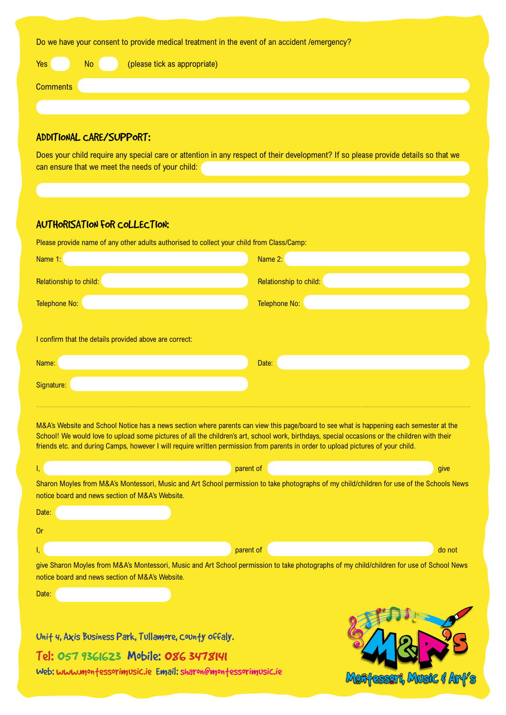|  | Do we have your consent to provide medical treatment in the event of an accident /emergency? |  |  |
|--|----------------------------------------------------------------------------------------------|--|--|
|  |                                                                                              |  |  |

| Yes             | <b>No</b> | (please tick as appropriate) |
|-----------------|-----------|------------------------------|
| <b>Comments</b> |           |                              |
|                 |           |                              |
|                 |           |                              |

## Additional Care/Support:

Does your child require any special care or attention in any respect of their development? If so please provide details so that we can ensure that we meet the needs of your child:

## AUTHORISATION FOR COLLECTION:

| Please provide name of any other adults authorised to collect your child from Class/Camp:                                                                                                                                                                                                                                                                                                                                                         |                        |  |  |  |  |
|---------------------------------------------------------------------------------------------------------------------------------------------------------------------------------------------------------------------------------------------------------------------------------------------------------------------------------------------------------------------------------------------------------------------------------------------------|------------------------|--|--|--|--|
| Name 1:                                                                                                                                                                                                                                                                                                                                                                                                                                           | Name 2:                |  |  |  |  |
| Relationship to child:                                                                                                                                                                                                                                                                                                                                                                                                                            | Relationship to child: |  |  |  |  |
| <b>Telephone No:</b>                                                                                                                                                                                                                                                                                                                                                                                                                              | <b>Telephone No:</b>   |  |  |  |  |
| I confirm that the details provided above are correct:<br>Name:                                                                                                                                                                                                                                                                                                                                                                                   | Date:                  |  |  |  |  |
| Signature:                                                                                                                                                                                                                                                                                                                                                                                                                                        |                        |  |  |  |  |
| M&A's Website and School Notice has a news section where parents can view this page/board to see what is happening each semester at the<br>School! We would love to upload some pictures of all the children's art, school work, birthdays, special occasions or the children with their<br>friends etc. and during Camps, however I will require written permission from parents in order to upload pictures of your child.<br>parent of<br>give |                        |  |  |  |  |
| Sharon Moyles from M&A's Montessori, Music and Art School permission to take photographs of my child/children for use of the Schools News<br>notice board and news section of M&A's Website.                                                                                                                                                                                                                                                      |                        |  |  |  |  |

| Date:     |           |        |
|-----------|-----------|--------|
| <b>Or</b> |           |        |
| .         | parent of | do not |

give Sharon Moyles from M&A's Montessori, Music and Art School permission to take photographs of my child/children for use of School News notice board and news section of M&A's Website.

| ٠ |  |  |
|---|--|--|

Unit 4, Axis Business Park, Tullamore, County offaly.

Tel: 057 9361623 Mobile: 086 3478141

Web: www.montessorimusic.ie Email: sharon@montessorimusic.ie